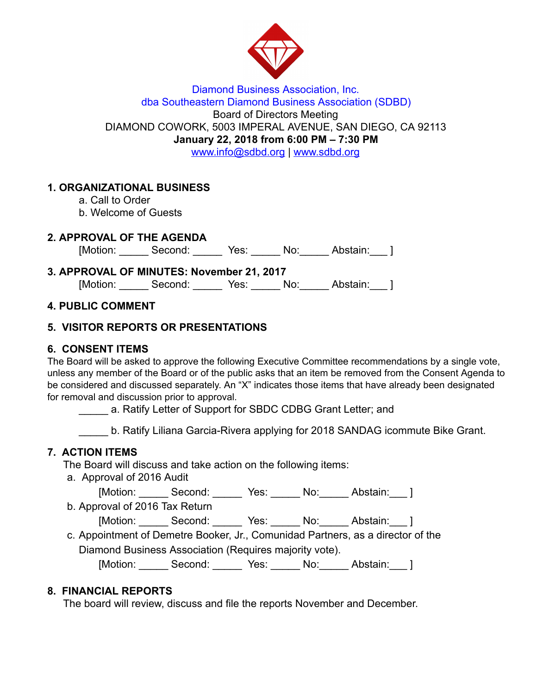

#### Diamond Business Association, Inc. dba Southeastern Diamond Business Association (SDBD) Board of Directors Meeting DIAMOND COWORK, 5003 IMPERAL AVENUE, SAN DIEGO, CA 92113 January 22, 2018 from 6:00 PM – 7:30 PM www.info@sdbd.org| [www.sdbd.org](http://www.sdbd.org/)

## 1. ORGANIZATIONAL BUSINESS

- a. Call to Order
- b. Welcome of Guests

## 2. APPROVAL OF THE AGENDA

[Motion: \_\_\_\_\_\_ Second: \_\_\_\_\_\_ Yes: \_\_\_\_\_ No: \_\_\_\_\_ Abstain: \_\_\_ ]

| 3. APPROVAL OF MINUTES: November 21, 2017 |         |      |     |          |  |
|-------------------------------------------|---------|------|-----|----------|--|
| [Motion:                                  | Second: | Yes: | No: | Abstain: |  |

## 4. PUBLIC COMMENT

# 5. VISITOR REPORTS OR PRESENTATIONS

# 6. CONSENT ITEMS

The Board will be asked to approve the following Executive Committee recommendations by a single vote, unless any member of the Board or of the public asks that an item be removed from the Consent Agenda to be considered and discussed separately. An "X" indicates those items that have already been designated for removal and discussion prior to approval.

a. Ratify Letter of Support for SBDC CDBG Grant Letter; and

b. Ratify Liliana Garcia-Rivera applying for 2018 SANDAG icommute Bike Grant.

# 7. ACTION ITEMS

The Board will discuss and take action on the following items:

a. Approval of 2016 Audit

[Motion: \_\_\_\_\_\_ Second: \_\_\_\_\_\_ Yes: \_\_\_\_\_ No: \_\_\_\_\_ Abstain: \_\_\_ ]

b. Approval of 2016 Tax Return

[Motion: Second: Yes: No: Abstain: ]

c. Appointment of Demetre Booker, Jr., Comunidad Partners, as a director of the Diamond Business Association (Requires majority vote).

[Motion: \_\_\_\_\_\_ Second: \_\_\_\_\_\_ Yes: \_\_\_\_\_ No: \_\_\_\_\_ Abstain: \_\_\_ ]

# 8. FINANCIAL REPORTS

The board will review, discuss and file the reports November and December.